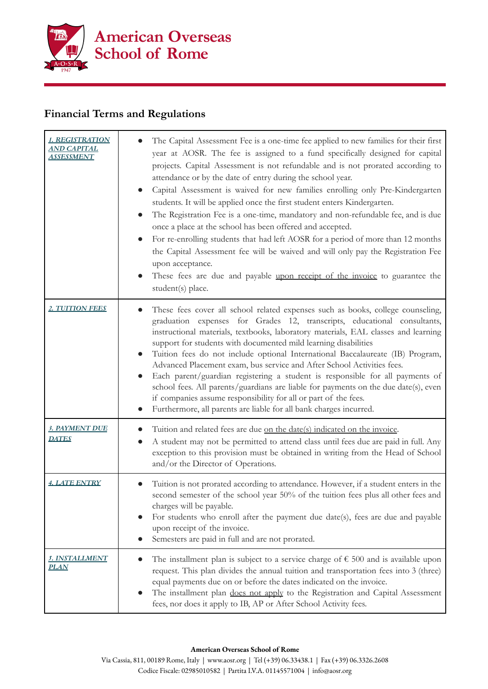

## **Financial Terms and Regulations**

| 1. REGISTRATION<br><u>AND CAPITAL</u><br><u>ASSESSMENT</u> | The Capital Assessment Fee is a one-time fee applied to new families for their first<br>year at AOSR. The fee is assigned to a fund specifically designed for capital<br>projects. Capital Assessment is not refundable and is not prorated according to<br>attendance or by the date of entry during the school year.<br>Capital Assessment is waived for new families enrolling only Pre-Kindergarten<br>students. It will be applied once the first student enters Kindergarten.<br>The Registration Fee is a one-time, mandatory and non-refundable fee, and is due<br>once a place at the school has been offered and accepted.<br>For re-enrolling students that had left AOSR for a period of more than 12 months<br>the Capital Assessment fee will be waived and will only pay the Registration Fee<br>upon acceptance.<br>These fees are due and payable upon receipt of the invoice to guarantee the<br>student(s) place. |
|------------------------------------------------------------|--------------------------------------------------------------------------------------------------------------------------------------------------------------------------------------------------------------------------------------------------------------------------------------------------------------------------------------------------------------------------------------------------------------------------------------------------------------------------------------------------------------------------------------------------------------------------------------------------------------------------------------------------------------------------------------------------------------------------------------------------------------------------------------------------------------------------------------------------------------------------------------------------------------------------------------|
| <b>2. TUITION FEES</b>                                     | These fees cover all school related expenses such as books, college counseling,<br>graduation expenses for Grades 12, transcripts, educational consultants,<br>instructional materials, textbooks, laboratory materials, EAL classes and learning<br>support for students with documented mild learning disabilities<br>Tuition fees do not include optional International Baccalaureate (IB) Program,<br>Advanced Placement exam, bus service and After School Activities fees.<br>Each parent/guardian registering a student is responsible for all payments of<br>school fees. All parents/guardians are liable for payments on the due date(s), even<br>if companies assume responsibility for all or part of the fees.<br>Furthermore, all parents are liable for all bank charges incurred.                                                                                                                                    |
| 3. PAYMENT DUE<br><u>DATES</u>                             | Tuition and related fees are due on the date(s) indicated on the invoice.<br>A student may not be permitted to attend class until fees due are paid in full. Any<br>exception to this provision must be obtained in writing from the Head of School<br>and/or the Director of Operations.                                                                                                                                                                                                                                                                                                                                                                                                                                                                                                                                                                                                                                            |
| <b>4. LATE ENTRY</b>                                       | Tuition is not prorated according to attendance. However, if a student enters in the<br>second semester of the school year 50% of the tuition fees plus all other fees and<br>charges will be payable.<br>For students who enroll after the payment due date(s), fees are due and payable<br>upon receipt of the invoice.<br>Semesters are paid in full and are not prorated.                                                                                                                                                                                                                                                                                                                                                                                                                                                                                                                                                        |
| <u>s. Installment</u><br><u>PLAN</u>                       | The installment plan is subject to a service charge of $\epsilon$ 500 and is available upon<br>request. This plan divides the annual tuition and transportation fees into 3 (three)<br>equal payments due on or before the dates indicated on the invoice.<br>The installment plan does not apply to the Registration and Capital Assessment<br>fees, nor does it apply to IB, AP or After School Activity fees.                                                                                                                                                                                                                                                                                                                                                                                                                                                                                                                     |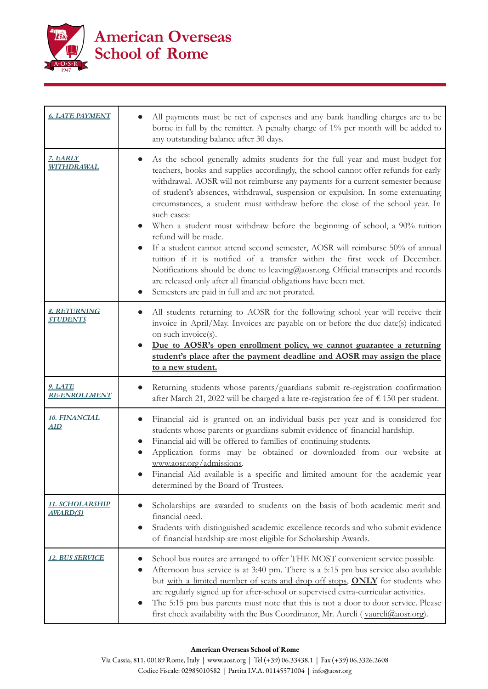

| <b>6. LATE PAYMENT</b>                 | All payments must be net of expenses and any bank handling charges are to be<br>borne in full by the remitter. A penalty charge of 1% per month will be added to<br>any outstanding balance after 30 days.                                                                                                                                                                                                                                                                                                                                                                                                                                                                                                                                                                                                                                                                                                                                  |
|----------------------------------------|---------------------------------------------------------------------------------------------------------------------------------------------------------------------------------------------------------------------------------------------------------------------------------------------------------------------------------------------------------------------------------------------------------------------------------------------------------------------------------------------------------------------------------------------------------------------------------------------------------------------------------------------------------------------------------------------------------------------------------------------------------------------------------------------------------------------------------------------------------------------------------------------------------------------------------------------|
| 7. EARLY<br><b>WITHDRAWAL</b>          | As the school generally admits students for the full year and must budget for<br>teachers, books and supplies accordingly, the school cannot offer refunds for early<br>withdrawal. AOSR will not reimburse any payments for a current semester because<br>of student's absences, withdrawal, suspension or expulsion. In some extenuating<br>circumstances, a student must withdraw before the close of the school year. In<br>such cases:<br>When a student must withdraw before the beginning of school, a 90% tuition<br>refund will be made.<br>If a student cannot attend second semester, AOSR will reimburse 50% of annual<br>$\bullet$<br>tuition if it is notified of a transfer within the first week of December.<br>Notifications should be done to leaving@aosr.org. Official transcripts and records<br>are released only after all financial obligations have been met.<br>Semesters are paid in full and are not prorated. |
| <u>8. RETURNING</u><br><b>STUDENTS</b> | All students returning to AOSR for the following school year will receive their<br>invoice in April/May. Invoices are payable on or before the due date(s) indicated<br>on such invoice(s).<br>Due to AOSR's open enrollment policy, we cannot guarantee a returning<br>student's place after the payment deadline and AOSR may assign the place<br>to a new student.                                                                                                                                                                                                                                                                                                                                                                                                                                                                                                                                                                       |
| <u>9. LATE</u><br><b>RE-ENROLLMENT</b> | Returning students whose parents/guardians submit re-registration confirmation<br>after March 21, 2022 will be charged a late re-registration fee of € 150 per student.                                                                                                                                                                                                                                                                                                                                                                                                                                                                                                                                                                                                                                                                                                                                                                     |
| <u>10. FINANCIAL</u><br><u>AID</u>     | Financial aid is granted on an individual basis per year and is considered for<br>students whose parents or guardians submit evidence of financial hardship.<br>Financial aid will be offered to families of continuing students.<br>Application forms may be obtained or downloaded from our website at<br>www.aosr.org/admissions.<br>Financial Aid available is a specific and limited amount for the academic year<br>determined by the Board of Trustees.                                                                                                                                                                                                                                                                                                                                                                                                                                                                              |
| 11. SCHOLARSHIP<br><u>AWARD(S)</u>     | Scholarships are awarded to students on the basis of both academic merit and<br>financial need.<br>Students with distinguished academic excellence records and who submit evidence<br>of financial hardship are most eligible for Scholarship Awards.                                                                                                                                                                                                                                                                                                                                                                                                                                                                                                                                                                                                                                                                                       |
| <u>12. BUS SERVICE</u>                 | School bus routes are arranged to offer THE MOST convenient service possible.<br>Afternoon bus service is at 3:40 pm. There is a 5:15 pm bus service also available<br>but with a limited number of seats and drop off stops, ONLY for students who<br>are regularly signed up for after-school or supervised extra-curricular activities.<br>The 5:15 pm bus parents must note that this is not a door to door service. Please<br>first check availability with the Bus Coordinator, Mr. Aureli (vaureli@aosr.org).                                                                                                                                                                                                                                                                                                                                                                                                                        |

## **American Overseas School of Rome**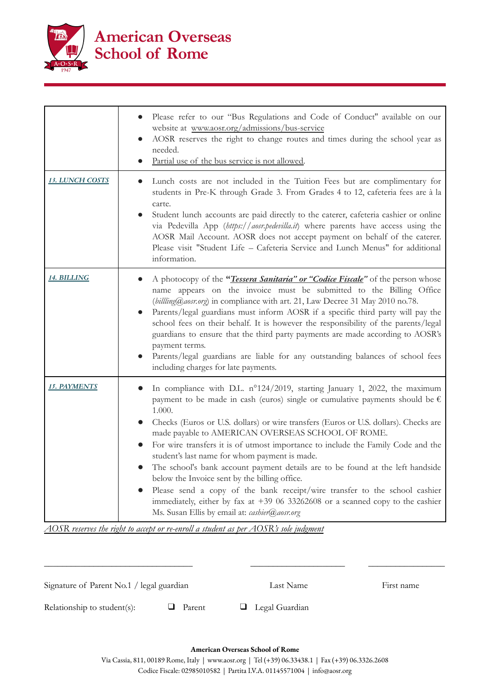

|                        | Please refer to our "Bus Regulations and Code of Conduct" available on our<br>website at www.aosr.org/admissions/bus-service<br>AOSR reserves the right to change routes and times during the school year as<br>needed.<br>Partial use of the bus service is not allowed.                                                                                                                                                                                                                                                                                                                                                                                                                                                                                                                                                                                |
|------------------------|----------------------------------------------------------------------------------------------------------------------------------------------------------------------------------------------------------------------------------------------------------------------------------------------------------------------------------------------------------------------------------------------------------------------------------------------------------------------------------------------------------------------------------------------------------------------------------------------------------------------------------------------------------------------------------------------------------------------------------------------------------------------------------------------------------------------------------------------------------|
| <u>13. LUNCH COSTS</u> | Lunch costs are not included in the Tuition Fees but are complimentary for<br>students in Pre-K through Grade 3. From Grades 4 to 12, cafeteria fees are à la<br>carte.<br>Student lunch accounts are paid directly to the caterer, cafeteria cashier or online<br>via Pedevilla App (https://aosr.pedevilla.it) where parents have access using the<br>AOSR Mail Account. AOSR does not accept payment on behalf of the caterer.<br>Please visit "Student Life - Cafeteria Service and Lunch Menus" for additional<br>information.                                                                                                                                                                                                                                                                                                                      |
| <u> 14. BILLING</u>    | A photocopy of the " <i>Tessera Sanitaria" or "Codice Fiscale</i> " of the person whose<br>name appears on the invoice must be submitted to the Billing Office<br>(billing@aosr.org) in compliance with art. 21, Law Decree 31 May 2010 no.78.<br>Parents/legal guardians must inform AOSR if a specific third party will pay the<br>school fees on their behalf. It is however the responsibility of the parents/legal<br>guardians to ensure that the third party payments are made according to AOSR's<br>payment terms.<br>Parents/legal guardians are liable for any outstanding balances of school fees<br>including charges for late payments.                                                                                                                                                                                                    |
| 15. PAYMENTS           | In compliance with D.L. $n^{\circ}124/2019$ , starting January 1, 2022, the maximum<br>payment to be made in cash (euros) single or cumulative payments should be $\epsilon$<br>1.000.<br>Checks (Euros or U.S. dollars) or wire transfers (Euros or U.S. dollars). Checks are<br>made payable to AMERICAN OVERSEAS SCHOOL OF ROME.<br>For wire transfers it is of utmost importance to include the Family Code and the<br>$\bullet$<br>student's last name for whom payment is made.<br>The school's bank account payment details are to be found at the left handside<br>below the Invoice sent by the billing office.<br>Please send a copy of the bank receipt/wire transfer to the school cashier<br>$\bullet$<br>immediately, either by fax at $+39$ 06 33262608 or a scanned copy to the cashier<br>Ms. Susan Ellis by email at: cashier@aosr.org |

*AOSR reserves the right to accept or re-enroll a student as per AOSR's sole judgment*

\_\_\_\_\_\_\_\_\_\_\_\_\_\_\_\_\_\_\_\_\_\_\_\_\_\_\_\_\_\_\_\_\_ \_\_\_\_\_\_\_\_\_\_\_\_\_\_\_\_\_\_\_\_\_ \_\_\_\_\_\_\_\_\_\_\_\_\_\_\_\_\_ Signature of Parent No.1 / legal guardian Last Name Last Name First name Relationship to student(s):  $\Box$  Parent  $\Box$  Legal Guardian